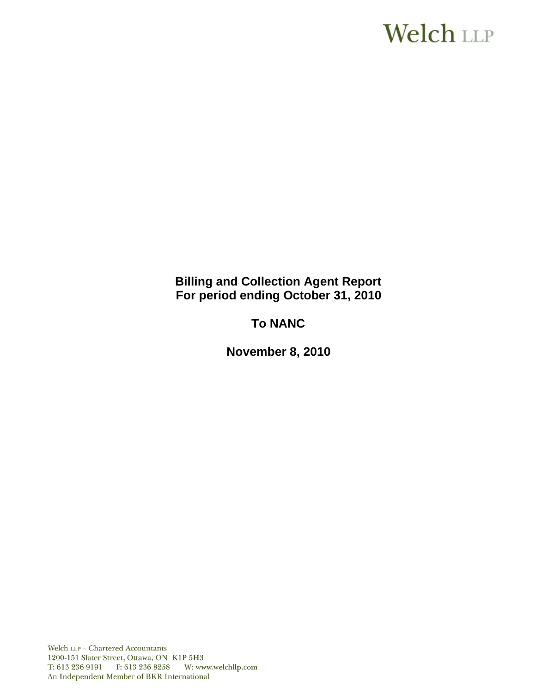# Welch LLP

**Billing and Collection Agent Report For period ending October 31, 2010**

**To NANC** 

**November 8, 2010**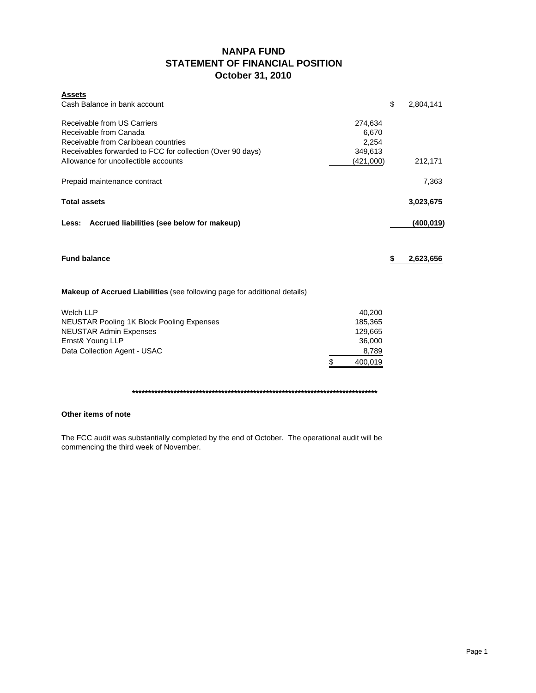## **NANPA FUND STATEMENT OF FINANCIAL POSITION October 31, 2010**

| <b>Assets</b>                                                                    |               |                 |
|----------------------------------------------------------------------------------|---------------|-----------------|
| Cash Balance in bank account                                                     |               | \$<br>2,804,141 |
| Receivable from US Carriers                                                      | 274,634       |                 |
| Receivable from Canada                                                           | 6,670         |                 |
| Receivable from Caribbean countries                                              | 2,254         |                 |
| Receivables forwarded to FCC for collection (Over 90 days)                       | 349,613       |                 |
| Allowance for uncollectible accounts                                             | (421,000)     | 212,171         |
| Prepaid maintenance contract                                                     |               | 7,363           |
| <b>Total assets</b>                                                              |               | 3,023,675       |
| Less: Accrued liabilities (see below for makeup)                                 |               | (400,019)       |
| <b>Fund balance</b>                                                              |               | \$<br>2,623,656 |
| <b>Makeup of Accrued Liabilities</b> (see following page for additional details) |               |                 |
| <b>Welch LLP</b>                                                                 | 40,200        |                 |
| <b>NEUSTAR Pooling 1K Block Pooling Expenses</b>                                 | 185,365       |                 |
| <b>NEUSTAR Admin Expenses</b>                                                    | 129,665       |                 |
| Ernst& Young LLP                                                                 | 36,000        |                 |
| Data Collection Agent - USAC                                                     | 8,789         |                 |
|                                                                                  | \$<br>400,019 |                 |

**\*\*\*\*\*\*\*\*\*\*\*\*\*\*\*\*\*\*\*\*\*\*\*\*\*\*\*\*\*\*\*\*\*\*\*\*\*\*\*\*\*\*\*\*\*\*\*\*\*\*\*\*\*\*\*\*\*\*\*\*\*\*\*\*\*\*\*\*\*\*\*\*\*\*\*\*\***

#### **Other items of note**

The FCC audit was substantially completed by the end of October. The operational audit will be commencing the third week of November.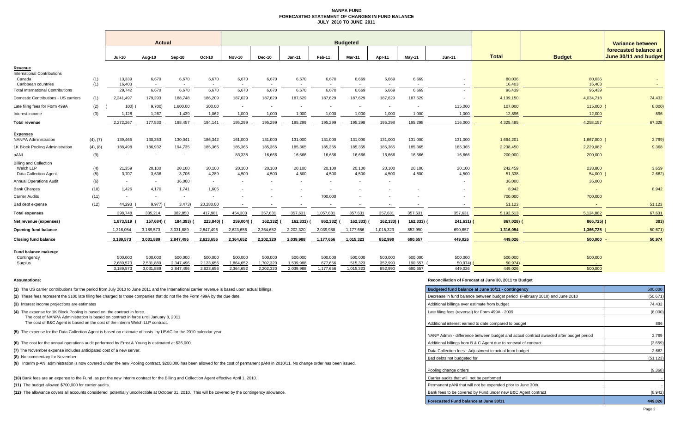#### **NANPA FUND FORECASTED STATEMENT OF CHANGES IN FUND BALANCEJULY 2010 TO JUNE 2011**

|                                                                            |            | <b>Actual</b>            |                          |                          |                        |                          |                        |                          |                          | <b>Budgeted</b>          |                          |                    | Variance between         |                   |                   |                                                |  |
|----------------------------------------------------------------------------|------------|--------------------------|--------------------------|--------------------------|------------------------|--------------------------|------------------------|--------------------------|--------------------------|--------------------------|--------------------------|--------------------|--------------------------|-------------------|-------------------|------------------------------------------------|--|
|                                                                            |            | Jul-10                   | Aug-10                   | Sep-10                   | Oct-10                 | <b>Nov-10</b>            | Dec-10                 | $Jan-11$                 | Feb-11                   | Mar-11                   | Apr-11                   | May-11             | $Jun-11$                 | <b>Total</b>      | <b>Budget</b>     | forecasted balance at<br>June 30/11 and budget |  |
| Revenue                                                                    |            |                          |                          |                          |                        |                          |                        |                          |                          |                          |                          |                    |                          |                   |                   |                                                |  |
| <b>International Contributions</b><br>Canada<br>Caribbean countries        | (1)<br>(1) | 13,339<br>16,403         | 6,670<br>$\sim$          | 6,670                    | 6,670                  | 6,670<br>$\sim$          | 6,670                  | 6,670                    | 6,670                    | 6,669                    | 6,669                    | 6,669              |                          | 80,036<br>16,403  | 80,036<br>16,403  |                                                |  |
| <b>Total International Contributions</b>                                   |            | 29,742                   | 6,670                    | 6,670                    | 6,670                  | 6,670                    | 6,670                  | 6,670                    | 6,670                    | 6,669                    | 6.669                    | 6,669              | $\overline{\phantom{a}}$ | 96,439            | 96,439            |                                                |  |
| Domestic Contributions - US carriers                                       | (1)        | 2,241,497                | 179,293                  | 188,748                  | 186,209                | 187,629                  | 187,629                | 187.629                  | 187,629                  | 187.629                  | 187.629                  | 187,629            |                          | 4,109,150         | 4,034,718         | 74,432                                         |  |
| Late filing fees for Form 499A                                             | (2)        | 100)                     | 9,700                    | 1,600.00                 | 200.00                 | $\overline{\phantom{a}}$ |                        | $\overline{\phantom{a}}$ | $\overline{\phantom{a}}$ | $\overline{\phantom{a}}$ | $\overline{\phantom{a}}$ | $\sim$             | 115,000                  | 107,000           | 115,000           | 8,000                                          |  |
| Interest income                                                            | (3)        | 1,128                    | 1,267                    | 1,439                    | 1,062                  | 1,000                    | 1,000                  | 1,000                    | 1,000                    | 1,000                    | 1,000                    | 1,000              | 1,000                    | 12,896            | 12,000            | 896                                            |  |
| <b>Total revenue</b>                                                       |            | 2,272,267                | 177,530                  | 198,457                  | 194,141                | 195,299                  | 195,299                | 195,299                  | 195,299                  | 195,298                  | 195,298                  | 195,298            | 116,000                  | 4,325,485         | 4,258,157         | 67,328                                         |  |
| <b>Expenses</b><br><b>NANPA Administration</b>                             | (4), (7)   | 139,465                  | 130,353                  | 130,041                  | 186,342                | 161,000                  | 131,000                | 131,000                  | 131,000                  | 131,000                  | 131,000                  | 131,000            | 131,000                  | 1,664,201         | 1,667,000         | 2,799                                          |  |
| 1K Block Pooling Administration                                            | (4), (8)   | 188,498                  | 186,932                  | 194,735                  | 185,365                | 185,365                  | 185,365                | 185,365                  | 185,365                  | 185,365                  | 185,365                  | 185,365            | 185,365                  | 2,238,450         | 2,229,082         | 9,368                                          |  |
| pANI                                                                       | (9)        | $\overline{\phantom{a}}$ | $\overline{\phantom{a}}$ | $\overline{\phantom{a}}$ |                        | 83,338                   | 16,666                 | 16,666                   | 16,666                   | 16,666                   | 16,666                   | 16,666             | 16,666                   | 200,000           | 200,000           |                                                |  |
| <b>Billing and Collection</b><br>Welch LLP<br><b>Data Collection Agent</b> | (4)<br>(5) | 21,359<br>3,707          | 20,100<br>3,636          | 20,100<br>3,706          | 20,100<br>4,289        | 20,100<br>4,500          | 20,100<br>4,500        | 20,100<br>4,500          | 20,100<br>4,500          | 20,100<br>4,500          | 20,100<br>4,500          | 20,100<br>4,500    | 20,100<br>4,500          | 242,459<br>51,338 | 238,800<br>54,000 | 3,659<br>2,662)                                |  |
| <b>Annual Operations Audit</b>                                             | (6)        | $\sim$                   | $\sim$                   | 36,000                   | $\sim$                 | $\sim$                   |                        | $\overline{a}$           | $\sim$                   | $\overline{\phantom{a}}$ | $\sim$                   |                    |                          | 36,000            | 36,000            |                                                |  |
| <b>Bank Charges</b>                                                        | (10)       | 1,426                    | 4,170                    | 1.741                    | 1,605                  |                          |                        |                          |                          |                          |                          |                    |                          | 8,942             | $\blacksquare$    | 8,942                                          |  |
| <b>Carrier Audits</b>                                                      | (11)       | $\overline{\phantom{a}}$ | $\sim$                   | $\sim$                   |                        |                          |                        |                          | 700,000                  |                          |                          |                    |                          | 700,000           | 700,000           |                                                |  |
| Bad debt expense                                                           | (12)       | 44,293                   | 9,977)                   | 3,473                    | 20,280.00              |                          |                        |                          |                          |                          |                          |                    |                          | 51,123            |                   | 51,123                                         |  |
| <b>Total expenses</b>                                                      |            | 398.748                  | 335.214                  | 382.850                  | 417.981                | 454,303                  | 357,631                | 357,631                  | 1,057,631                | 357,631                  | 357,631                  | 357,631            | 357,631                  | 5,192,513         | 5,124,882         | 67,631                                         |  |
| Net revenue (expenses)                                                     |            | 1,873,519                | 157,684)                 | 184,393)                 | 223,840)               | 259,004)                 | 162,332)               | 162,332)                 | 862,332)                 | 162,333)                 | 162,333)                 | 162,333)           | $241,631$ )              | 867,028)          | 866,725) (        | 303)                                           |  |
| Opening fund balance                                                       |            | 1,316,054                | 3,189,573                | 3,031,889                | 2,847,496              | 2,623,656                | 2,364,652              | 2,202,320                | 2,039,988                | 1,177,656                | 1,015,323                | 852,990            | 690,657                  | 1,316,054         | 1,366,725         | 50,671                                         |  |
| <b>Closing fund balance</b>                                                |            | 3,189,573                | 3,031,889                | 2,847,496                | 2,623,656              | 2,364,652                | 2,202,320              | 2,039,988                | 1,177,656                | 1,015,323                | 852,990                  | 690,657            | 449,026                  | 449,026           | 500,000           | 50,974                                         |  |
| Fund balance makeup:<br>Contingency                                        |            | 500.000                  | 500,000                  | 500,000                  | 500,000                | 500,000                  | 500,000                | 500,000<br>1,539,988     | 500,000                  | 500,000                  | 500,000                  | 500,000<br>190,657 | 500,000                  | 500,000           | 500,000           |                                                |  |
| Surplus                                                                    |            | 2,689,573<br>3,189,573   | 2,531,889<br>3,031,889   | 2,347,496<br>2,847,496   | 2,123,656<br>2,623,656 | 1,864,652<br>2,364,652   | 1,702,320<br>2,202,320 | 2,039,988                | 677,656<br>1,177,656     | 515,323<br>1,015,323     | 352,990<br>852.990       | 690,657            | 50,974)<br>449,026       | 50,974<br>449.026 | 500,000           |                                                |  |

**(1)** The US carrier contributions for the period from July 2010 to June 2011 and the International carrier revenue is based upon actual billings.

**(2)** These fees represent the \$100 late filing fee charged to those companies that do not file the Form 499A by the due date.

**(3)** Interest income projections are estimates

**(4)** The expense for 1K Block Pooling is based on the contract in force.

The cost of NANPA Administration is based on contract in force until January 8, 2011.

The cost of B&C Agent is based on the cost of the interim Welch LLP contract.

**(5)** The expense for the Data Collection Agent is based on estimate of costs by USAC for the 2010 calendar year.

**(6)** The cost for the annual operations audit performed by Ernst & Young is estimated at \$36,000.

**(7)** The November expense includes anticipated cost of a new server.

**(8)** No commentary for November

**(9)** Interim p-ANI administration is now covered under the new Pooling contract. \$200,000 has been allowed for the cost of permanent pANI in 2010/11. No change order has been issued.

**(10)** Bank fees are an expense to the Fund as per the new interim contract for the Billing and Collection Agent effective April 1, 2010.

**(11)** The budget allowed \$700,000 for carrier audits.

**(12)** The allowance covers all accounts considered potentially uncollectible at October 31, 2010. This will be covered by the contingency allowance.

#### **Assumptions: Reconciliation of Forecast at June 30, 2011 to Budget**

| Budgeted fund balance at June 30/11 - contingency                                      | 500,000   |
|----------------------------------------------------------------------------------------|-----------|
| Decrease in fund balance between budget period (February 2010) and June 2010           | (50, 671) |
| Additional billings over estimate from budget                                          | 74,432    |
| Late filing fees (reversal) for Form 499A - 2009                                       | (8,000)   |
| Additional interest earned to date compared to budget                                  | 896       |
| NANP Admin - difference between budget and actual contract awarded after budget period | 2,799     |
| Additional billings from B & C Agent due to renewal of contract                        | (3,659)   |
| Data Collection fees - Adjustment to actual from budget                                | 2,662     |
| Bad debts not budgeted for                                                             | (51, 123) |
| Pooling change orders                                                                  | (9,368)   |
| Carrier audits that will not be performed                                              |           |
| Permanent pANi that will not be expended prior to June 30th.                           |           |
| Bank fees to be covered by Fund under new B&C Agent contract                           | (8,942)   |
| <b>Forecasted Fund balance at June 30/11</b>                                           | 449,026   |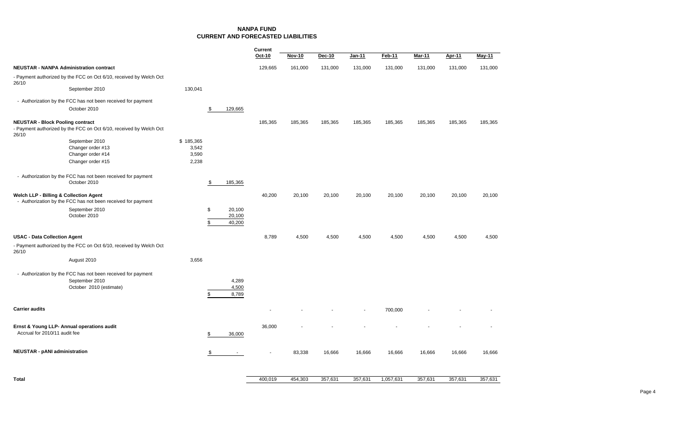**NANPA FUNDCURRENT AND FORECASTED LIABILITIES**

|                                                                                                                        |                |                                | Current |               |               |               |           |         |         |         |
|------------------------------------------------------------------------------------------------------------------------|----------------|--------------------------------|---------|---------------|---------------|---------------|-----------|---------|---------|---------|
|                                                                                                                        |                |                                | Oct-10  | <b>Nov-10</b> | <b>Dec-10</b> | <b>Jan-11</b> | Feb-11    | Mar-11  | Apr-11  | May-11  |
| <b>NEUSTAR - NANPA Administration contract</b>                                                                         |                |                                | 129,665 | 161,000       | 131,000       | 131,000       | 131,000   | 131,000 | 131,000 | 131,000 |
| - Payment authorized by the FCC on Oct 6/10, received by Welch Oct<br>26/10                                            |                |                                |         |               |               |               |           |         |         |         |
| September 2010                                                                                                         | 130,041        |                                |         |               |               |               |           |         |         |         |
| - Authorization by the FCC has not been received for payment                                                           |                |                                |         |               |               |               |           |         |         |         |
| October 2010                                                                                                           |                | 129,665<br>\$                  |         |               |               |               |           |         |         |         |
| <b>NEUSTAR - Block Pooling contract</b><br>- Payment authorized by the FCC on Oct 6/10, received by Welch Oct<br>26/10 |                |                                | 185,365 | 185,365       | 185,365       | 185,365       | 185,365   | 185,365 | 185,365 | 185,365 |
| September 2010                                                                                                         | \$185,365      |                                |         |               |               |               |           |         |         |         |
| Changer order #13<br>Changer order #14                                                                                 | 3,542<br>3,590 |                                |         |               |               |               |           |         |         |         |
| Changer order #15                                                                                                      | 2,238          |                                |         |               |               |               |           |         |         |         |
| - Authorization by the FCC has not been received for payment                                                           |                |                                |         |               |               |               |           |         |         |         |
| October 2010                                                                                                           |                | 185,365<br>\$                  |         |               |               |               |           |         |         |         |
| <b>Welch LLP - Billing &amp; Collection Agent</b><br>- Authorization by the FCC has not been received for payment      |                |                                | 40,200  | 20,100        | 20,100        | 20,100        | 20,100    | 20,100  | 20,100  | 20,100  |
| September 2010<br>October 2010                                                                                         |                | \$<br>20,100<br>20,100         |         |               |               |               |           |         |         |         |
|                                                                                                                        |                | \$<br>40,200                   |         |               |               |               |           |         |         |         |
| <b>USAC - Data Collection Agent</b>                                                                                    |                |                                | 8,789   | 4,500         | 4,500         | 4,500         | 4,500     | 4,500   | 4,500   | 4,500   |
| - Payment authorized by the FCC on Oct 6/10, received by Welch Oct<br>26/10                                            |                |                                |         |               |               |               |           |         |         |         |
| August 2010                                                                                                            | 3,656          |                                |         |               |               |               |           |         |         |         |
| - Authorization by the FCC has not been received for payment                                                           |                |                                |         |               |               |               |           |         |         |         |
| September 2010<br>October 2010 (estimate)                                                                              |                | 4,289<br>4,500                 |         |               |               |               |           |         |         |         |
|                                                                                                                        |                | 8,789<br>\$                    |         |               |               |               |           |         |         |         |
| <b>Carrier audits</b>                                                                                                  |                |                                |         |               |               |               | 700,000   |         |         |         |
| Ernst & Young LLP- Annual operations audit                                                                             |                |                                | 36,000  |               |               |               |           |         |         |         |
| Accrual for 2010/11 audit fee                                                                                          |                | 36,000<br>\$                   |         |               |               |               |           |         |         |         |
| <b>NEUSTAR - pANI administration</b>                                                                                   |                | \$<br>$\overline{\phantom{a}}$ |         | 83,338        | 16,666        | 16,666        | 16,666    | 16,666  | 16,666  | 16,666  |
| <b>Total</b>                                                                                                           |                |                                | 400,019 | 454,303       | 357,631       | 357,631       | 1,057,631 | 357,631 | 357,631 | 357,631 |